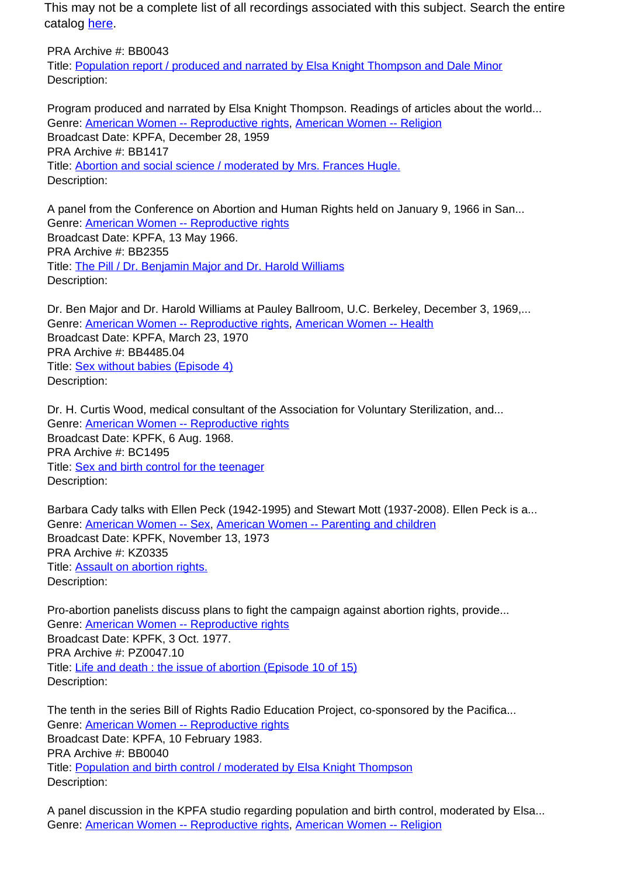This may not be a complete list of all recordings associated with this subject. Search the entire catalog [here.](http://pacificaradioarchives.org/keyword-search)

PRA Archive #: BB0043 Title: Population report / produced and narrated by Elsa Knight Thompson and Dale Minor Description:

Program produced and narrated by Elsa Knight Thompson. Readings of articles about the world... Genre: American Women -- Reproductive rights, American Women -- Religion Broadcast Date: KPFA, December 28, 1959 PRA Archive #: BB1417 Title: Abortion and social science / moderated by Mrs. Frances Hugle. Description:

A panel from the Conference on Abortion and Human Rights held on January 9, 1966 in San... Genre: American Women -- Reproductive rights Broadcast Date: KPFA, 13 May 1966. PRA Archive #: BB2355 Title: The Pill / Dr. Benjamin Major and Dr. Harold Williams Description:

Dr. Ben Major and Dr. Harold Williams at Pauley Ballroom, U.C. Berkeley, December 3, 1969,... Genre: American Women -- Reproductive rights, American Women -- Health Broadcast Date: KPFA, March 23, 1970 PRA Archive #: BB4485.04 Title: Sex without babies (Episode 4) Description:

Dr. H. Curtis Wood, medical consultant of the Association for Voluntary Sterilization, and... Genre: American Women -- Reproductive rights Broadcast Date: KPFK, 6 Aug. 1968. PRA Archive #: BC1495 Title: Sex and birth control for the teenager Description:

Barbara Cady talks with Ellen Peck (1942-1995) and Stewart Mott (1937-2008). Ellen Peck is a... Genre: American Women -- Sex, American Women -- Parenting and children Broadcast Date: KPFK, November 13, 1973 PRA Archive #: KZ0335 Title: Assault on abortion rights. Description:

Pro-abortion panelists discuss plans to fight the campaign against abortion rights, provide... Genre: American Women -- Reproductive rights Broadcast Date: KPFK, 3 Oct. 1977. PRA Archive #: PZ0047.10 Title: Life and death : the issue of abortion (Episode 10 of 15) Description:

The tenth in the series Bill of Rights Radio Education Project, co-sponsored by the Pacifica... Genre: American Women -- Reproductive rights Broadcast Date: KPFA, 10 February 1983. PRA Archive #: BB0040 Title: Population and birth control / moderated by Elsa Knight Thompson Description:

A panel discussion in the KPFA studio regarding population and birth control, moderated by Elsa... Genre: American Women -- Reproductive rights, American Women -- Religion